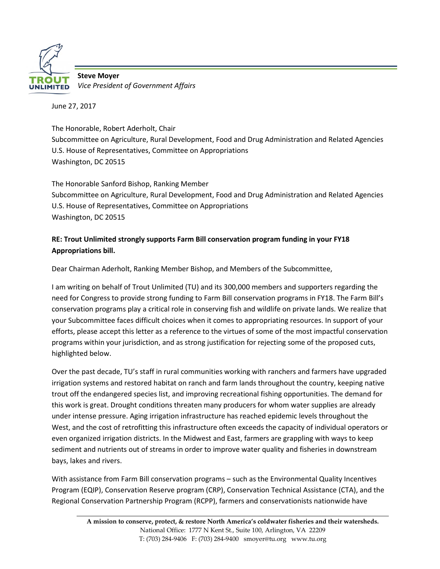

**Steve Moyer** *Vice President of Government Affairs*

June 27, 2017

The Honorable, Robert Aderholt, Chair Subcommittee on Agriculture, Rural Development, Food and Drug Administration and Related Agencies U.S. House of Representatives, Committee on Appropriations Washington, DC 20515

The Honorable Sanford Bishop, Ranking Member Subcommittee on Agriculture, Rural Development, Food and Drug Administration and Related Agencies U.S. House of Representatives, Committee on Appropriations Washington, DC 20515

# **RE: Trout Unlimited strongly supports Farm Bill conservation program funding in your FY18 Appropriations bill.**

Dear Chairman Aderholt, Ranking Member Bishop, and Members of the Subcommittee,

I am writing on behalf of Trout Unlimited (TU) and its 300,000 members and supporters regarding the need for Congress to provide strong funding to Farm Bill conservation programs in FY18. The Farm Bill's conservation programs play a critical role in conserving fish and wildlife on private lands. We realize that your Subcommittee faces difficult choices when it comes to appropriating resources. In support of your efforts, please accept this letter as a reference to the virtues of some of the most impactful conservation programs within your jurisdiction, and as strong justification for rejecting some of the proposed cuts, highlighted below.

Over the past decade, TU's staff in rural communities working with ranchers and farmers have upgraded irrigation systems and restored habitat on ranch and farm lands throughout the country, keeping native trout off the endangered species list, and improving recreational fishing opportunities. The demand for this work is great. Drought conditions threaten many producers for whom water supplies are already under intense pressure. Aging irrigation infrastructure has reached epidemic levels throughout the West, and the cost of retrofitting this infrastructure often exceeds the capacity of individual operators or even organized irrigation districts. In the Midwest and East, farmers are grappling with ways to keep sediment and nutrients out of streams in order to improve water quality and fisheries in downstream bays, lakes and rivers.

With assistance from Farm Bill conservation programs – such as the Environmental Quality Incentives Program (EQIP), Conservation Reserve program (CRP), Conservation Technical Assistance (CTA), and the Regional Conservation Partnership Program (RCPP), farmers and conservationists nationwide have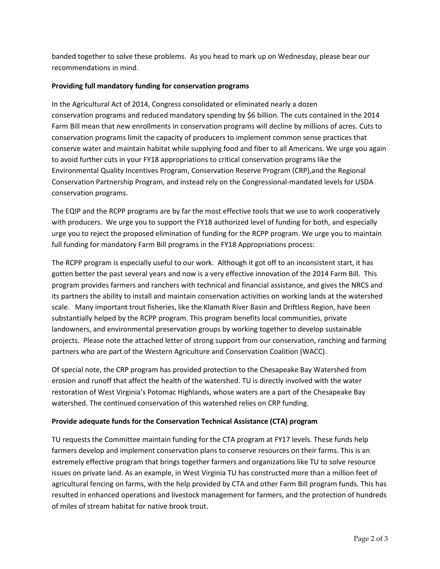banded together to solve these problems. As you head to mark up on Wednesday, please bear our recommendations in mind.

## **Providing full mandatory funding for conservation programs**

In the Agricultural Act of 2014, Congress consolidated or eliminated nearly a dozen conservation programs and reduced mandatory spending by \$6 billion. The cuts contained in the 2014 Farm Bill mean that new enrollments in conservation programs will decline by millions of acres. Cuts to conservation programs limit the capacity of producers to implement common sense practices that conserve water and maintain habitat while supplying food and fiber to all Americans. We urge you again to avoid further cuts in your FY18 appropriations to critical conservation programs like the Environmental Quality Incentives Program, Conservation Reserve Program (CRP),and the Regional Conservation Partnership Program, and instead rely on the Congressional-mandated levels for USDA conservation programs.

The EQIP and the RCPP programs are by far the most effective tools that we use to work cooperatively with producers. We urge you to support the FY18 authorized level of funding for both, and especially urge you to reject the proposed elimination of funding for the RCPP program. We urge you to maintain full funding for mandatory Farm Bill programs in the FY18 Appropriations process:

The RCPP program is especially useful to our work. Although it got off to an inconsistent start, it has gotten better the past several years and now is a very effective innovation of the 2014 Farm Bill. This program provides farmers and ranchers with technical and financial assistance, and gives the NRCS and its partners the ability to install and maintain conservation activities on working lands at the watershed scale. Many important trout fisheries, like the Klamath River Basin and Driftless Region, have been substantially helped by the RCPP program. This program benefits local communities, private landowners, and environmental preservation groups by working together to develop sustainable projects. Please note the attached letter of strong support from our conservation, ranching and farming partners who are part of the Western Agriculture and Conservation Coalition (WACC).

Of special note, the CRP program has provided protection to the Chesapeake Bay Watershed from erosion and runoff that affect the health of the watershed. TU is directly involved with the water restoration of West Virginia's Potomac Highlands, whose waters are a part of the Chesapeake Bay watershed. The continued conservation of this watershed relies on CRP funding.

## **Provide adequate funds for the Conservation Technical Assistance (CTA) program**

TU requests the Committee maintain funding for the CTA program at FY17 levels. These funds help farmers develop and implement conservation plans to conserve resources on their farms. This is an extremely effective program that brings together farmers and organizations like TU to solve resource issues on private land. As an example, in West Virginia TU has constructed more than a million feet of agricultural fencing on farms, with the help provided by CTA and other Farm Bill program funds. This has resulted in enhanced operations and livestock management for farmers, and the protection of hundreds of miles of stream habitat for native brook trout.